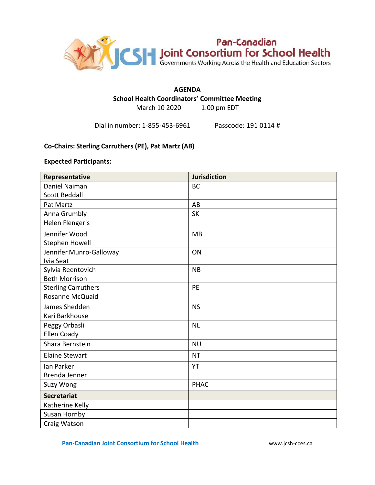

## **AGENDA School Health Coordinators' Committee Meeting**

March 10 2020 1:00 pm EDT

Dial in number: 1-855-453-6961 Passcode: 191 0114 #

## **Co-Chairs: Sterling Carruthers (PE), Pat Martz(AB)**

### **Expected Participants:**

| Representative             | <b>Jurisdiction</b> |
|----------------------------|---------------------|
| Daniel Naiman              | <b>BC</b>           |
| <b>Scott Beddall</b>       |                     |
| Pat Martz                  | AB                  |
| Anna Grumbly               | <b>SK</b>           |
| Helen Flengeris            |                     |
| Jennifer Wood              | MB                  |
| <b>Stephen Howell</b>      |                     |
| Jennifer Munro-Galloway    | ON                  |
| Ivia Seat                  |                     |
| Sylvia Reentovich          | <b>NB</b>           |
| <b>Beth Morrison</b>       |                     |
| <b>Sterling Carruthers</b> | PE                  |
| Rosanne McQuaid            |                     |
| James Shedden              | <b>NS</b>           |
| Kari Barkhouse             |                     |
| Peggy Orbasli              | <b>NL</b>           |
| Ellen Coady                |                     |
| Shara Bernstein            | <b>NU</b>           |
| <b>Elaine Stewart</b>      | <b>NT</b>           |
| Ian Parker                 | <b>YT</b>           |
| Brenda Jenner              |                     |
| Suzy Wong                  | <b>PHAC</b>         |
| <b>Secretariat</b>         |                     |
| Katherine Kelly            |                     |
| Susan Hornby               |                     |
| Craig Watson               |                     |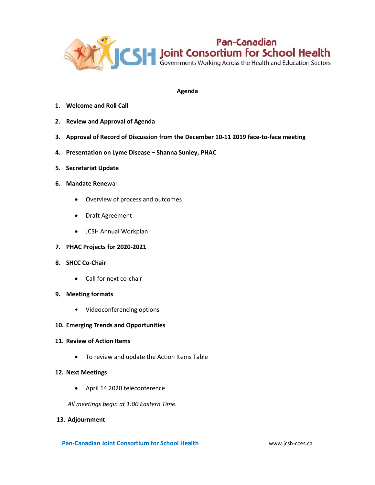

### **Agenda**

- **1. Welcome and Roll Call**
- **2. Review and Approval of Agenda**
- **3. Approval of Record of Discussion from the December 10-11 2019 face-to-face meeting**
- **4. Presentation on Lyme Disease – Shanna Sunley, PHAC**
- **5. Secretariat Update**
- **6. Mandate Rene**wal
	- Overview of process and outcomes
	- Draft Agreement
	- JCSH Annual Workplan
- **7. PHAC Projects for 2020-2021**
- **8. SHCC Co-Chair**
	- Call for next co-chair
- **9. Meeting formats**
	- Videoconferencing options
- **10. Emerging Trends and Opportunities**
- **11. Review of Action Items**
	- To review and update the Action Items Table
- **12. Next Meetings**
	- April 14 2020 teleconference

*All meetings begin at 1:00 Eastern Time.*

**13. Adjournment**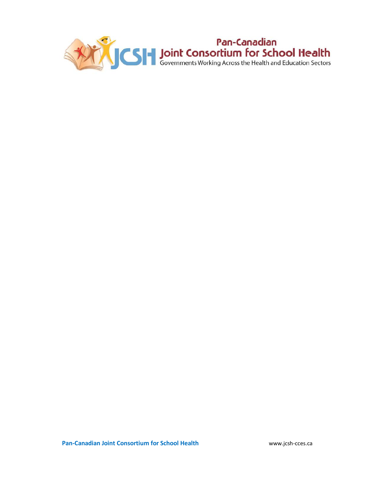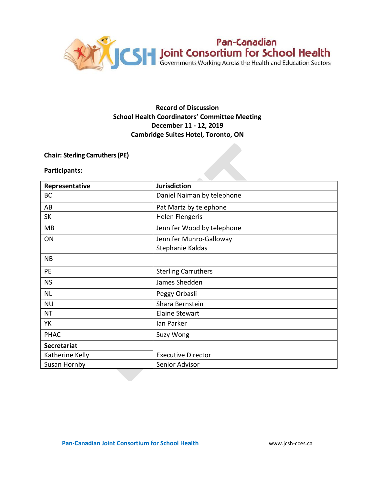

## **Record of Discussion School Health Coordinators' Committee Meeting December 11 - 12, 2019 Cambridge Suites Hotel, Toronto, ON**

**Chair: Sterling Carruthers (PE)** 

**Participants:**

| Representative     | <b>Jurisdiction</b>        |
|--------------------|----------------------------|
| <b>BC</b>          | Daniel Naiman by telephone |
| AB                 | Pat Martz by telephone     |
| <b>SK</b>          | <b>Helen Flengeris</b>     |
| <b>MB</b>          | Jennifer Wood by telephone |
| ON                 | Jennifer Munro-Galloway    |
|                    | Stephanie Kaldas           |
| <b>NB</b>          |                            |
| <b>PE</b>          | <b>Sterling Carruthers</b> |
| <b>NS</b>          | James Shedden              |
| <b>NL</b>          | Peggy Orbasli              |
| <b>NU</b>          | Shara Bernstein            |
| <b>NT</b>          | <b>Elaine Stewart</b>      |
| YK                 | lan Parker                 |
| <b>PHAC</b>        | Suzy Wong                  |
| <b>Secretariat</b> |                            |
| Katherine Kelly    | <b>Executive Director</b>  |
| Susan Hornby       | Senior Advisor             |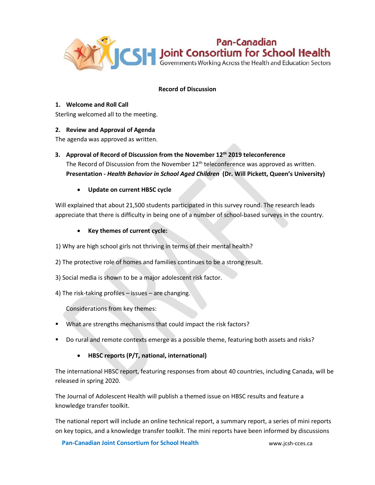

## **Record of Discussion**

### **1. Welcome and Roll Call**

Sterling welcomed all to the meeting.

### **2. Review and Approval of Agenda**

The agenda was approved as written.

# **3. Approval of Record of Discussion from the November 12th 2019 teleconference**

The Record of Discussion from the November 12<sup>th</sup> teleconference was approved as written. **Presentation -** *Health Behavior in School Aged Children* **(Dr. Will Pickett, Queen's University)**

### • **Update on current HBSC cycle**

Will explained that about 21,500 students participated in this survey round. The research leads appreciate that there is difficulty in being one of a number of school-based surveys in the country.

### • **Key themes of current cycle:**

- 1) Why are high school girls not thriving in terms of their mental health?
- 2) The protective role of homes and families continues to be a strong result.
- 3) Social media is shown to be a major adolescent risk factor.
- 4) The risk-taking profiles issues are changing.

Considerations from key themes:

- What are strengths mechanisms that could impact the risk factors?
- Do rural and remote contexts emerge as a possible theme, featuring both assets and risks?
	- **HBSC reports (P/T, national, international)**

The international HBSC report, featuring responses from about 40 countries, including Canada, will be released in spring 2020.

The Journal of Adolescent Health will publish a themed issue on HBSC results and feature a knowledge transfer toolkit.

The national report will include an online technical report, a summary report, a series of mini reports on key topics, and a knowledge transfer toolkit. The mini reports have been informed by discussions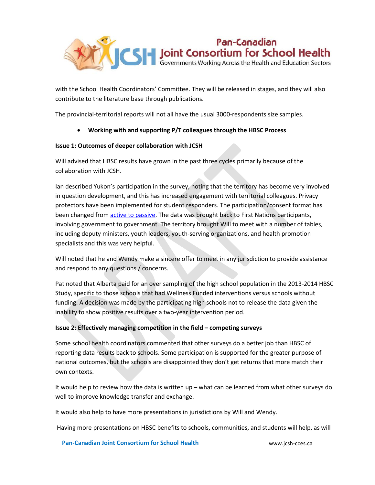

with the School Health Coordinators' Committee. They will be released in stages, and they will also contribute to the literature base through publications.

The provincial-territorial reports will not all have the usual 3000-respondents size samples.

• **Working with and supporting P/T colleagues through the HBSC Process**

### **Issue 1: Outcomes of deeper collaboration with JCSH**

Will advised that HBSC results have grown in the past three cycles primarily because of the collaboration with JCSH.

Ian described Yukon's participation in the survey, noting that the territory has become very involved in question development, and this has increased engagement with territorial colleagues. Privacy protectors have been implemented for student responders. The participation/consent format has been changed from [active to passive.](https://journals.sagepub.com/doi/abs/10.1177/0193841X8901300104) The data was brought back to First Nations participants, involving government to government. The territory brought Will to meet with a number of tables, including deputy ministers, youth leaders, youth-serving organizations, and health promotion specialists and this was very helpful.

Will noted that he and Wendy make a sincere offer to meet in any jurisdiction to provide assistance and respond to any questions / concerns.

Pat noted that Alberta paid for an over sampling of the high school population in the 2013-2014 HBSC Study, specific to those schools that had Wellness Funded interventions versus schools without funding. A decision was made by the participating high schools not to release the data given the inability to show positive results over a two-year intervention period.

### **Issue 2: Effectively managing competition in the field – competing surveys**

Some school health coordinators commented that other surveys do a better job than HBSC of reporting data results back to schools. Some participation is supported for the greater purpose of national outcomes, but the schools are disappointed they don't get returns that more match their own contexts.

It would help to review how the data is written up – what can be learned from what other surveys do well to improve knowledge transfer and exchange.

It would also help to have more presentations in jurisdictions by Will and Wendy.

Having more presentations on HBSC benefits to schools, communities, and students will help, as will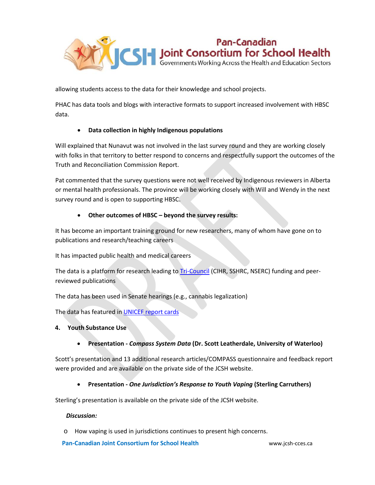

allowing students access to the data for their knowledge and school projects.

PHAC has data tools and blogs with interactive formats to support increased involvement with HBSC data.

### • **Data collection in highly Indigenous populations**

Will explained that Nunavut was not involved in the last survey round and they are working closely with folks in that territory to better respond to concerns and respectfully support the outcomes of the Truth and Reconciliation Commission Report.

Pat commented that the survey questions were not well received by Indigenous reviewers in Alberta or mental health professionals. The province will be working closely with Will and Wendy in the next survey round and is open to supporting HBSC.

### • **Other outcomes of HBSC – beyond the survey results:**

It has become an important training ground for new researchers, many of whom have gone on to publications and research/teaching careers

It has impacted public health and medical careers

The data is a platform for research leading to [Tri-Council](https://www.rsf-fsr.gc.ca/about-au_sujet/index-eng.aspx) (CIHR, SSHRC, NSERC) funding and peerreviewed publications

The data has been used in Senate hearings (e.g., cannabis legalization)

The data has featured in **UNICEF report cards** 

### **4. Youth Substance Use**

## • **Presentation -** *Compass System Data* **(Dr. Scott Leatherdale, University of Waterloo)**

Scott's presentation and 13 additional research articles/COMPASS questionnaire and feedback report were provided and are available on the private side of the JCSH website.

### • **Presentation -** *One Jurisdiction's Response to Youth Vaping* **(Sterling Carruthers)**

Sterling's presentation is available on the private side of the JCSH website.

### *Discussion:*

o How vaping is used in jurisdictions continues to present high concerns.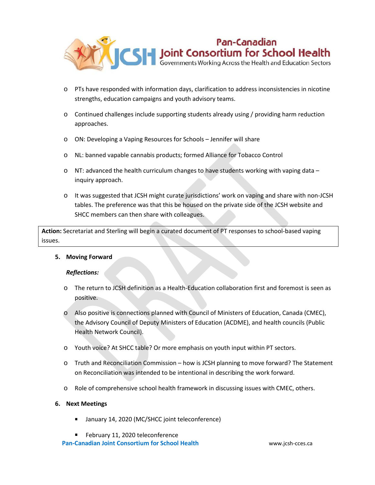

- o PTs have responded with information days, clarification to address inconsistencies in nicotine strengths, education campaigns and youth advisory teams.
- o Continued challenges include supporting students already using / providing harm reduction approaches.
- o ON: Developing a Vaping Resources for Schools Jennifer will share
- o NL: banned vapable cannabis products; formed Alliance for Tobacco Control
- $\circ$  NT: advanced the health curriculum changes to have students working with vaping data inquiry approach.
- o It was suggested that JCSH might curate jurisdictions' work on vaping and share with non-JCSH tables. The preference was that this be housed on the private side of the JCSH website and SHCC members can then share with colleagues.

**Action:** Secretariat and Sterling will begin a curated document of PT responses to school-based vaping issues.

**5. Moving Forward**

### *Reflections:*

- o The return to JCSH definition as a Health-Education collaboration first and foremost is seen as positive.
- o Also positive is connections planned with Council of Ministers of Education, Canada (CMEC), the Advisory Council of Deputy Ministers of Education (ACDME), and health councils (Public Health Network Council).
- o Youth voice? At SHCC table? Or more emphasis on youth input within PT sectors.
- o Truth and Reconciliation Commission how is JCSH planning to move forward? The Statement on Reconciliation was intended to be intentional in describing the work forward.
- o Role of comprehensive school health framework in discussing issues with CMEC, others.

### **6. Next Meetings**

January 14, 2020 (MC/SHCC joint teleconference)

February 11, 2020 teleconference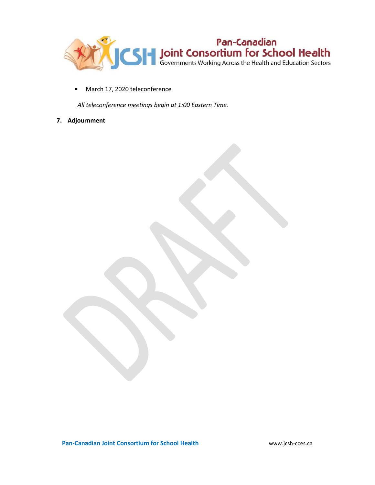

March 17, 2020 teleconference

*All teleconference meetings begin at 1:00 Eastern Time.* 

**7. Adjournment**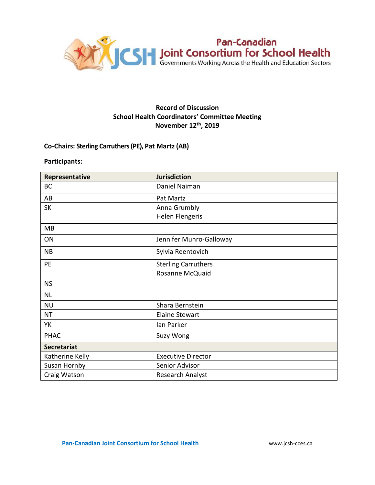

## **Record of Discussion School Health Coordinators' Committee Meeting November 12th, 2019**

## **Co-Chairs: Sterling Carruthers (PE), Pat Martz(AB)**

### **Participants:**

| Representative     | <b>Jurisdiction</b>        |
|--------------------|----------------------------|
| <b>BC</b>          | Daniel Naiman              |
| AB                 | Pat Martz                  |
| <b>SK</b>          | Anna Grumbly               |
|                    | <b>Helen Flengeris</b>     |
| MB                 |                            |
| ON                 | Jennifer Munro-Galloway    |
| <b>NB</b>          | Sylvia Reentovich          |
| PE                 | <b>Sterling Carruthers</b> |
|                    | Rosanne McQuaid            |
| <b>NS</b>          |                            |
| <b>NL</b>          |                            |
| <b>NU</b>          | Shara Bernstein            |
| <b>NT</b>          | <b>Elaine Stewart</b>      |
| YK                 | Ian Parker                 |
| PHAC               | Suzy Wong                  |
| <b>Secretariat</b> |                            |
| Katherine Kelly    | <b>Executive Director</b>  |
| Susan Hornby       | Senior Advisor             |
| Craig Watson       | Research Analyst           |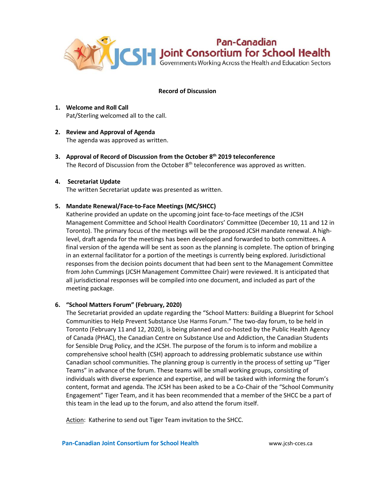

### **Record of Discussion**

- **1. Welcome and Roll Call** Pat/Sterling welcomed all to the call.
- **2. Review and Approval of Agenda** The agenda was approved as written.
- **3. Approval of Record of Discussion from the October 8th 2019 teleconference** The Record of Discussion from the October  $8<sup>th</sup>$  teleconference was approved as written.

### **4. Secretariat Update**

The written Secretariat update was presented as written.

### **5. Mandate Renewal/Face-to-Face Meetings (MC/SHCC)**

Katherine provided an update on the upcoming joint face-to-face meetings of the JCSH Management Committee and School Health Coordinators' Committee (December 10, 11 and 12 in Toronto). The primary focus of the meetings will be the proposed JCSH mandate renewal. A highlevel, draft agenda for the meetings has been developed and forwarded to both committees. A final version of the agenda will be sent as soon as the planning is complete. The option of bringing in an external facilitator for a portion of the meetings is currently being explored. Jurisdictional responses from the decision points document that had been sent to the Management Committee from John Cummings (JCSH Management Committee Chair) were reviewed. It is anticipated that all jurisdictional responses will be compiled into one document, and included as part of the meeting package.

### **6. "School Matters Forum" (February, 2020)**

The Secretariat provided an update regarding the "School Matters: Building a Blueprint for School Communities to Help Prevent Substance Use Harms Forum." The two-day forum, to be held in Toronto (February 11 and 12, 2020), is being planned and co-hosted by the Public Health Agency of Canada (PHAC), the Canadian Centre on Substance Use and Addiction, the Canadian Students for Sensible Drug Policy, and the JCSH. The purpose of the forum is to inform and mobilize a comprehensive school health (CSH) approach to addressing problematic substance use within Canadian school communities. The planning group is currently in the process of setting up "Tiger Teams" in advance of the forum. These teams will be small working groups, consisting of individuals with diverse experience and expertise, and will be tasked with informing the forum's content, format and agenda. The JCSH has been asked to be a Co-Chair of the "School Community Engagement" Tiger Team, and it has been recommended that a member of the SHCC be a part of this team in the lead up to the forum, and also attend the forum itself.

Action: Katherine to send out Tiger Team invitation to the SHCC.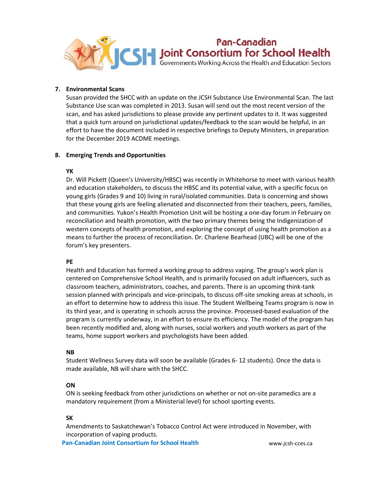

### **7. Environmental Scans**

Susan provided the SHCC with an update on the JCSH Substance Use Environmental Scan. The last Substance Use scan was completed in 2013. Susan will send out the most recent version of the scan, and has asked jurisdictions to please provide any pertinent updates to it. It was suggested that a quick turn around on jurisdictional updates/feedback to the scan would be helpful, in an effort to have the document included in respective briefings to Deputy Ministers, in preparation for the December 2019 ACDME meetings.

### **8. Emerging Trends and Opportunities**

#### **YK**

Dr. Will Pickett (Queen's University/HBSC) was recently in Whitehorse to meet with various health and education stakeholders, to discuss the HBSC and its potential value, with a specific focus on young girls (Grades 9 and 10) living in rural/isolated communities. Data is concerning and shows that these young girls are feeling alienated and disconnected from their teachers, peers, families, and communities. Yukon's Health Promotion Unit will be hosting a one-day forum in February on reconciliation and health promotion, with the two primary themes being the Indigenization of western concepts of health promotion, and exploring the concept of using health promotion as a means to further the process of reconciliation. Dr. Charlene Bearhead (UBC) will be one of the forum's key presenters.

#### **PE**

Health and Education has formed a working group to address vaping. The group's work plan is centered on Comprehensive School Health, and is primarily focused on adult influencers, such as classroom teachers, administrators, coaches, and parents. There is an upcoming think-tank session planned with principals and vice-principals, to discuss off-site smoking areas at schools, in an effort to determine how to address this issue. The Student Wellbeing Teams program is now in its third year, and is operating in schools across the province. Processed-based evaluation of the program is currently underway, in an effort to ensure its efficiency. The model of the program has been recently modified and, along with nurses, social workers and youth workers as part of the teams, home support workers and psychologists have been added.

### **NB**

Student Wellness Survey data will soon be available (Grades 6- 12 students). Once the data is made available, NB will share with the SHCC.

### **ON**

ON is seeking feedback from other jurisdictions on whether or not on-site paramedics are a mandatory requirement (from a Ministerial level) for school sporting events.

#### **SK**

Amendments to Saskatchewan's Tobacco Control Act were introduced in November, with incorporation of vaping products.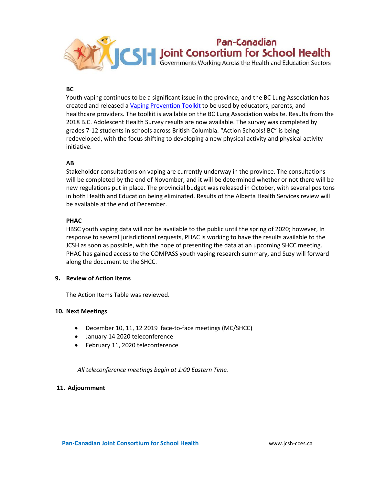

### **BC**

Youth vaping continues to be a significant issue in the province, and the BC Lung Association has created and released a [Vaping Prevention Toolkit](https://bc.lung.ca/how-we-can-help/vaping/vaping-prevention-toolkit) to be used by educators, parents, and healthcare providers. The toolkit is available on the BC Lung Association website. Results from the 2018 B.C. Adolescent Health Survey results are now available. The survey was completed by grades 7-12 students in schools across British Columbia. "Action Schools! BC" is being redeveloped, with the focus shifting to developing a new physical activity and physical activity initiative.

### **AB**

Stakeholder consultations on vaping are currently underway in the province. The consultations will be completed by the end of November, and it will be determined whether or not there will be new regulations put in place. The provincial budget was released in October, with several positons in both Health and Education being eliminated. Results of the Alberta Health Services review will be available at the end of December.

### **PHAC**

HBSC youth vaping data will not be available to the public until the spring of 2020; however, In response to several jurisdictional requests, PHAC is working to have the results available to the JCSH as soon as possible, with the hope of presenting the data at an upcoming SHCC meeting. PHAC has gained access to the COMPASS youth vaping research summary, and Suzy will forward along the document to the SHCC.

### **9. Review of Action Items**

The Action Items Table was reviewed.

### **10. Next Meetings**

- December 10, 11, 12 2019 face-to-face meetings (MC/SHCC)
- January 14 2020 teleconference
- February 11, 2020 teleconference

*All teleconference meetings begin at 1:00 Eastern Time.* 

### **11. Adjournment**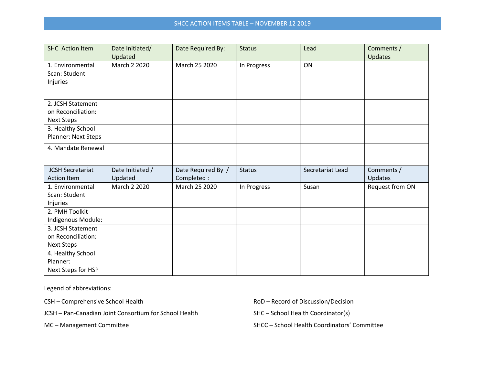## SHCC ACTION ITEMS TABLE – NOVEMBER 12 2019

| <b>SHC</b> Action Item  | Date Initiated/  | Date Required By:  | <b>Status</b> | Lead             | Comments /      |
|-------------------------|------------------|--------------------|---------------|------------------|-----------------|
|                         | Updated          |                    |               |                  | <b>Updates</b>  |
| 1. Environmental        | March 2 2020     | March 25 2020      | In Progress   | ON               |                 |
| Scan: Student           |                  |                    |               |                  |                 |
| Injuries                |                  |                    |               |                  |                 |
|                         |                  |                    |               |                  |                 |
| 2. JCSH Statement       |                  |                    |               |                  |                 |
| on Reconciliation:      |                  |                    |               |                  |                 |
| <b>Next Steps</b>       |                  |                    |               |                  |                 |
| 3. Healthy School       |                  |                    |               |                  |                 |
| Planner: Next Steps     |                  |                    |               |                  |                 |
| 4. Mandate Renewal      |                  |                    |               |                  |                 |
|                         |                  |                    |               |                  |                 |
| <b>JCSH Secretariat</b> | Date Initiated / | Date Required By / | <b>Status</b> | Secretariat Lead | Comments /      |
| <b>Action Item</b>      | Updated          | Completed:         |               |                  | Updates         |
| 1. Environmental        | March 2 2020     | March 25 2020      | In Progress   | Susan            | Request from ON |
| Scan: Student           |                  |                    |               |                  |                 |
| Injuries                |                  |                    |               |                  |                 |
| 2. PMH Toolkit          |                  |                    |               |                  |                 |
| Indigenous Module:      |                  |                    |               |                  |                 |
| 3. JCSH Statement       |                  |                    |               |                  |                 |
| on Reconciliation:      |                  |                    |               |                  |                 |
| <b>Next Steps</b>       |                  |                    |               |                  |                 |
| 4. Healthy School       |                  |                    |               |                  |                 |
| Planner:                |                  |                    |               |                  |                 |
| Next Steps for HSP      |                  |                    |               |                  |                 |

Legend of abbreviations:

CSH – Comprehensive School Health

JCSH – Pan-Canadian Joint Consortium for School Health

MC – Management Committee

RoD – Record of Discussion/Decision

SHC – School Health Coordinator(s)

SHCC – School Health Coordinators' Committee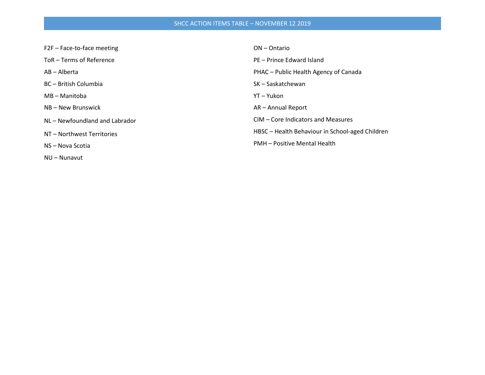## SHCC ACTION ITEMS TABLE – NOVEMBER 12 2019

| $F2F - Face-to-face$ meeting   | ON - Ontario                                    |
|--------------------------------|-------------------------------------------------|
| ToR – Terms of Reference       | PE - Prince Edward Island                       |
| AB – Alberta                   | PHAC - Public Health Agency of Canada           |
| BC – British Columbia          | SK – Saskatchewan                               |
| MB - Manitoba                  | $YT - Yukon$                                    |
| NB – New Brunswick             | AR - Annual Report                              |
| NL - Newfoundland and Labrador | CIM - Core Indicators and Measures              |
| NT - Northwest Territories     | HBSC - Health Behaviour in School-aged Children |
| NS – Nova Scotia               | PMH - Positive Mental Health                    |
|                                |                                                 |

NU – Nunavut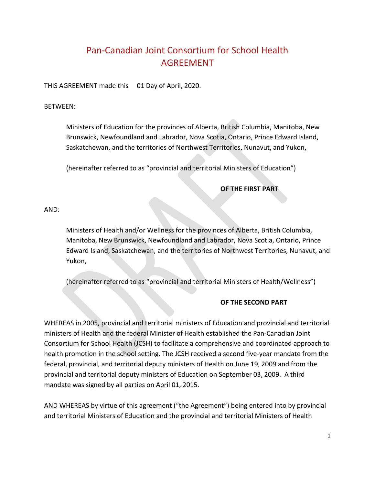# Pan-Canadian Joint Consortium for School Health AGREEMENT

THIS AGREEMENT made this 01 Day of April, 2020.

## BETWEEN:

Ministers of Education for the provinces of Alberta, British Columbia, Manitoba, New Brunswick, Newfoundland and Labrador, Nova Scotia, Ontario, Prince Edward Island, Saskatchewan, and the territories of Northwest Territories, Nunavut, and Yukon,

(hereinafter referred to as "provincial and territorial Ministers of Education")

## **OF THE FIRST PART**

### AND:

Ministers of Health and/or Wellness for the provinces of Alberta, British Columbia, Manitoba, New Brunswick, Newfoundland and Labrador, Nova Scotia, Ontario, Prince Edward Island, Saskatchewan, and the territories of Northwest Territories, Nunavut, and Yukon,

(hereinafter referred to as "provincial and territorial Ministers of Health/Wellness")

## **OF THE SECOND PART**

WHEREAS in 2005, provincial and territorial ministers of Education and provincial and territorial ministers of Health and the federal Minister of Health established the Pan-Canadian Joint Consortium for School Health (JCSH) to facilitate a comprehensive and coordinated approach to health promotion in the school setting. The JCSH received a second five-year mandate from the federal, provincial, and territorial deputy ministers of Health on June 19, 2009 and from the provincial and territorial deputy ministers of Education on September 03, 2009. A third mandate was signed by all parties on April 01, 2015.

AND WHEREAS by virtue of this agreement ("the Agreement") being entered into by provincial and territorial Ministers of Education and the provincial and territorial Ministers of Health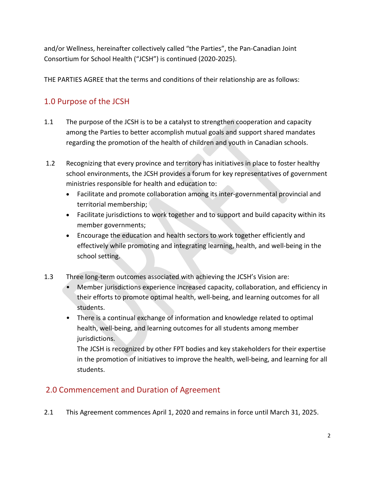and/or Wellness, hereinafter collectively called "the Parties", the Pan-Canadian Joint Consortium for School Health ("JCSH") is continued (2020-2025).

THE PARTIES AGREE that the terms and conditions of their relationship are as follows:

## 1.0 Purpose of the JCSH

- 1.1 The purpose of the JCSH is to be a catalyst to strengthen cooperation and capacity among the Parties to better accomplish mutual goals and support shared mandates regarding the promotion of the health of children and youth in Canadian schools.
- 1.2 Recognizing that every province and territory has initiatives in place to foster healthy school environments, the JCSH provides a forum for key representatives of government ministries responsible for health and education to:
	- Facilitate and promote collaboration among its inter-governmental provincial and territorial membership;
	- Facilitate jurisdictions to work together and to support and build capacity within its member governments;
	- Encourage the education and health sectors to work together efficiently and effectively while promoting and integrating learning, health, and well-being in the school setting.
- 1.3 Three long-term outcomes associated with achieving the JCSH's Vision are:
	- Member jurisdictions experience increased capacity, collaboration, and efficiency in their efforts to promote optimal health, well-being, and learning outcomes for all students.
	- There is a continual exchange of information and knowledge related to optimal health, well-being, and learning outcomes for all students among member jurisdictions.

The JCSH is recognized by other FPT bodies and key stakeholders for their expertise in the promotion of initiatives to improve the health, well-being, and learning for all students.

## 2.0 Commencement and Duration of Agreement

2.1 This Agreement commences April 1, 2020 and remains in force until March 31, 2025.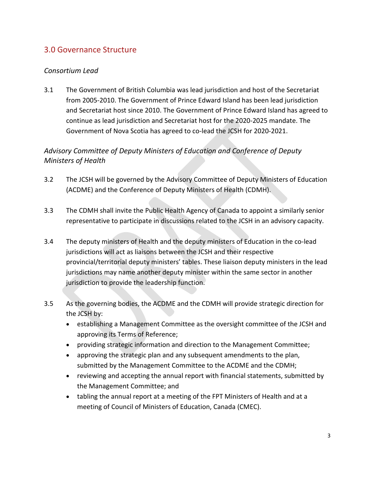## 3.0 Governance Structure

## *Consortium Lead*

3.1 The Government of British Columbia was lead jurisdiction and host of the Secretariat from 2005-2010. The Government of Prince Edward Island has been lead jurisdiction and Secretariat host since 2010. The Government of Prince Edward Island has agreed to continue as lead jurisdiction and Secretariat host for the 2020-2025 mandate. The Government of Nova Scotia has agreed to co-lead the JCSH for 2020-2021.

## *Advisory Committee of Deputy Ministers of Education and Conference of Deputy Ministers of Health*

- 3.2 The JCSH will be governed by the Advisory Committee of Deputy Ministers of Education (ACDME) and the Conference of Deputy Ministers of Health (CDMH).
- 3.3 The CDMH shall invite the Public Health Agency of Canada to appoint a similarly senior representative to participate in discussions related to the JCSH in an advisory capacity.
- 3.4 The deputy ministers of Health and the deputy ministers of Education in the co-lead jurisdictions will act as liaisons between the JCSH and their respective provincial/territorial deputy ministers' tables. These liaison deputy ministers in the lead jurisdictions may name another deputy minister within the same sector in another jurisdiction to provide the leadership function.
- 3.5 As the governing bodies, the ACDME and the CDMH will provide strategic direction for the JCSH by:
	- establishing a Management Committee as the oversight committee of the JCSH and approving its Terms of Reference;
	- providing strategic information and direction to the Management Committee;
	- approving the strategic plan and any subsequent amendments to the plan, submitted by the Management Committee to the ACDME and the CDMH;
	- reviewing and accepting the annual report with financial statements, submitted by the Management Committee; and
	- tabling the annual report at a meeting of the FPT Ministers of Health and at a meeting of Council of Ministers of Education, Canada (CMEC).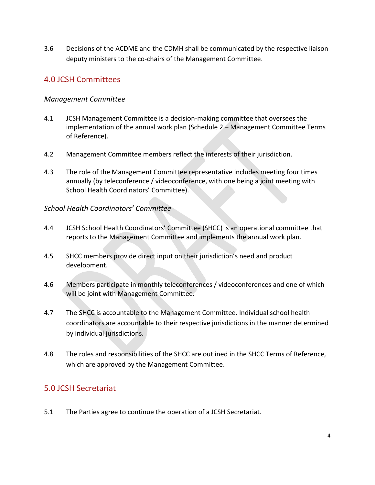3.6 Decisions of the ACDME and the CDMH shall be communicated by the respective liaison deputy ministers to the co-chairs of the Management Committee.

## 4.0 JCSH Committees

## *Management Committee*

- 4.1 JCSH Management Committee is a decision-making committee that oversees the implementation of the annual work plan (Schedule 2 – Management Committee Terms of Reference).
- 4.2 Management Committee members reflect the interests of their jurisdiction.
- 4.3 The role of the Management Committee representative includes meeting four times annually (by teleconference / videoconference, with one being a joint meeting with School Health Coordinators' Committee).

## *School Health Coordinators' Committee*

- 4.4 JCSH School Health Coordinators' Committee (SHCC) is an operational committee that reports to the Management Committee and implements the annual work plan.
- 4.5 SHCC members provide direct input on their jurisdiction's need and product development.
- 4.6 Members participate in monthly teleconferences / videoconferences and one of which will be joint with Management Committee.
- 4.7 The SHCC is accountable to the Management Committee. Individual school health coordinators are accountable to their respective jurisdictions in the manner determined by individual jurisdictions.
- 4.8 The roles and responsibilities of the SHCC are outlined in the SHCC Terms of Reference, which are approved by the Management Committee.

## 5.0 JCSH Secretariat

5.1 The Parties agree to continue the operation of a JCSH Secretariat.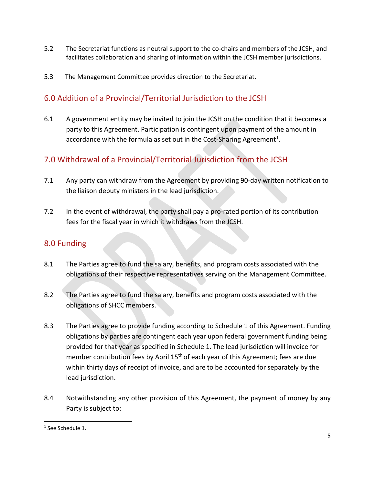- 5.2 The Secretariat functions as neutral support to the co-chairs and members of the JCSH, and facilitates collaboration and sharing of information within the JCSH member jurisdictions.
- 5.3 The Management Committee provides direction to the Secretariat.

## 6.0 Addition of a Provincial/Territorial Jurisdiction to the JCSH

6.1 A government entity may be invited to join the JCSH on the condition that it becomes a party to this Agreement. Participation is contingent upon payment of the amount in accordance with the formula as set out in the Cost-Sharing Agreement<sup>[1](#page-19-0)</sup>.

## 7.0 Withdrawal of a Provincial/Territorial Jurisdiction from the JCSH

- 7.1 Any party can withdraw from the Agreement by providing 90-day written notification to the liaison deputy ministers in the lead jurisdiction.
- 7.2 In the event of withdrawal, the party shall pay a pro-rated portion of its contribution fees for the fiscal year in which it withdraws from the JCSH.

## 8.0 Funding

- 8.1 The Parties agree to fund the salary, benefits, and program costs associated with the obligations of their respective representatives serving on the Management Committee.
- 8.2 The Parties agree to fund the salary, benefits and program costs associated with the obligations of SHCC members.
- 8.3 The Parties agree to provide funding according to Schedule 1 of this Agreement. Funding obligations by parties are contingent each year upon federal government funding being provided for that year as specified in Schedule 1. The lead jurisdiction will invoice for member contribution fees by April 15<sup>th</sup> of each year of this Agreement; fees are due within thirty days of receipt of invoice, and are to be accounted for separately by the lead jurisdiction.
- 8.4 Notwithstanding any other provision of this Agreement, the payment of money by any Party is subject to:

 $\overline{a}$ 

<span id="page-19-0"></span><sup>&</sup>lt;sup>1</sup> See Schedule 1.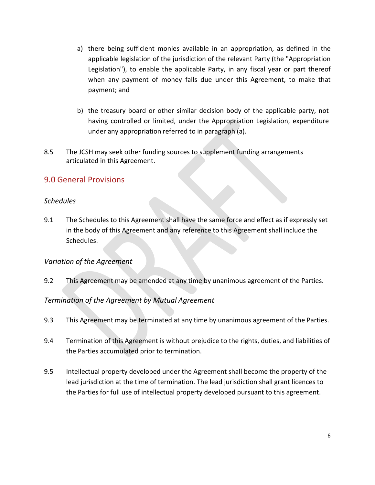- a) there being sufficient monies available in an appropriation, as defined in the applicable legislation of the jurisdiction of the relevant Party (the "Appropriation Legislation"), to enable the applicable Party, in any fiscal year or part thereof when any payment of money falls due under this Agreement, to make that payment; and
- b) the treasury board or other similar decision body of the applicable party, not having controlled or limited, under the Appropriation Legislation, expenditure under any appropriation referred to in paragraph (a).
- 8.5 The JCSH may seek other funding sources to supplement funding arrangements articulated in this Agreement.

## 9.0 General Provisions

## *Schedules*

9.1 The Schedules to this Agreement shall have the same force and effect as if expressly set in the body of this Agreement and any reference to this Agreement shall include the Schedules.

## *Variation of the Agreement*

9.2 This Agreement may be amended at any time by unanimous agreement of the Parties.

## *Termination of the Agreement by Mutual Agreement*

- 9.3 This Agreement may be terminated at any time by unanimous agreement of the Parties.
- 9.4 Termination of this Agreement is without prejudice to the rights, duties, and liabilities of the Parties accumulated prior to termination.
- 9.5 Intellectual property developed under the Agreement shall become the property of the lead jurisdiction at the time of termination. The lead jurisdiction shall grant licences to the Parties for full use of intellectual property developed pursuant to this agreement.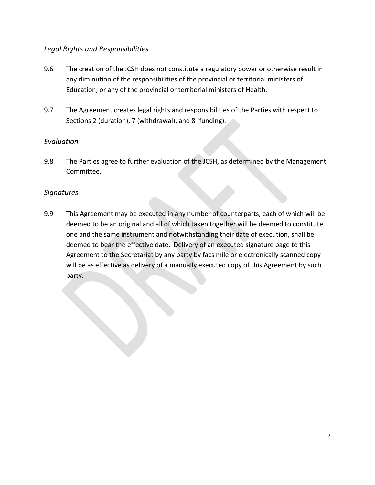## *Legal Rights and Responsibilities*

- 9.6 The creation of the JCSH does not constitute a regulatory power or otherwise result in any diminution of the responsibilities of the provincial or territorial ministers of Education, or any of the provincial or territorial ministers of Health.
- 9.7 The Agreement creates legal rights and responsibilities of the Parties with respect to Sections 2 (duration), 7 (withdrawal), and 8 (funding).

## *Evaluation*

9.8 The Parties agree to further evaluation of the JCSH, as determined by the Management Committee.

## *Signatures*

9.9 This Agreement may be executed in any number of counterparts, each of which will be deemed to be an original and all of which taken together will be deemed to constitute one and the same instrument and notwithstanding their date of execution, shall be deemed to bear the effective date. Delivery of an executed signature page to this Agreement to the Secretariat by any party by facsimile or electronically scanned copy will be as effective as delivery of a manually executed copy of this Agreement by such party.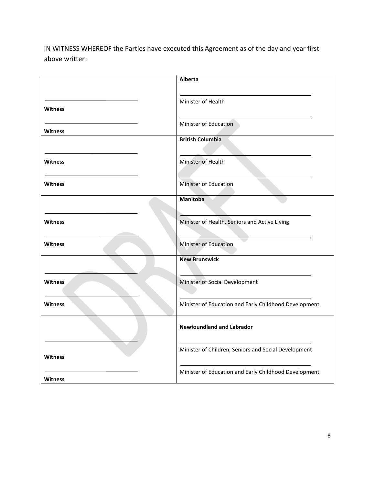IN WITNESS WHEREOF the Parties have executed this Agreement as of the day and year first above written:

|                | <b>Alberta</b>                                        |
|----------------|-------------------------------------------------------|
|                |                                                       |
|                | Minister of Health                                    |
| <b>Witness</b> |                                                       |
|                | Minister of Education                                 |
| <b>Witness</b> |                                                       |
|                | <b>British Columbia</b>                               |
|                |                                                       |
| <b>Witness</b> | Minister of Health                                    |
|                |                                                       |
| <b>Witness</b> | <b>Minister of Education</b>                          |
|                |                                                       |
|                | <b>Manitoba</b>                                       |
|                |                                                       |
| <b>Witness</b> | Minister of Health, Seniors and Active Living         |
|                |                                                       |
| Witness        | Minister of Education                                 |
|                | <b>New Brunswick</b>                                  |
|                |                                                       |
|                |                                                       |
| <b>Witness</b> | Minister of Social Development                        |
|                |                                                       |
| <b>Witness</b> | Minister of Education and Early Childhood Development |
|                |                                                       |
|                | <b>Newfoundland and Labrador</b>                      |
|                |                                                       |
|                | Minister of Children, Seniors and Social Development  |
| <b>Witness</b> |                                                       |
|                | Minister of Education and Early Childhood Development |
| <b>Witness</b> |                                                       |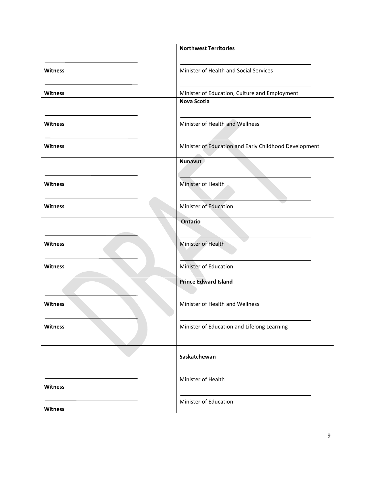|                | <b>Northwest Territories</b>                          |
|----------------|-------------------------------------------------------|
| <b>Witness</b> | Minister of Health and Social Services                |
| Witness        | Minister of Education, Culture and Employment         |
|                | <b>Nova Scotia</b>                                    |
| <b>Witness</b> | Minister of Health and Wellness                       |
| <b>Witness</b> | Minister of Education and Early Childhood Development |
|                | <b>Nunavut</b>                                        |
| <b>Witness</b> | Minister of Health                                    |
| <b>Witness</b> | Minister of Education                                 |
|                | Ontario                                               |
| <b>Witness</b> | Minister of Health                                    |
| <b>Witness</b> | <b>Minister of Education</b>                          |
|                | <b>Prince Edward Island</b>                           |
| <b>Witness</b> | Minister of Health and Wellness                       |
| Witness        | Minister of Education and Lifelong Learning           |
|                | Saskatchewan                                          |
| Witness        | Minister of Health                                    |
| Witness        | Minister of Education                                 |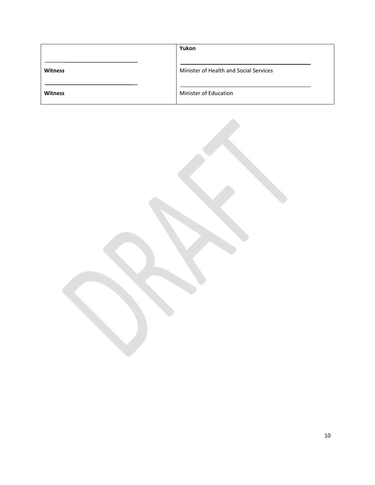|                | Yukon                                  |
|----------------|----------------------------------------|
|                |                                        |
| <b>Witness</b> | Minister of Health and Social Services |
|                |                                        |
| <b>Witness</b> | Minister of Education                  |
|                |                                        |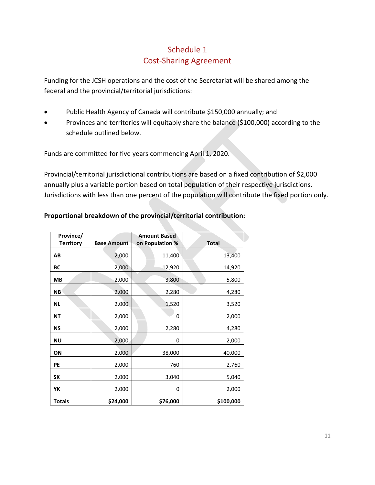## Schedule 1 Cost-Sharing Agreement

Funding for the JCSH operations and the cost of the Secretariat will be shared among the federal and the provincial/territorial jurisdictions:

- Public Health Agency of Canada will contribute \$150,000 annually; and
- Provinces and territories will equitably share the balance (\$100,000) according to the schedule outlined below.

Funds are committed for five years commencing April 1, 2020.

Provincial/territorial jurisdictional contributions are based on a fixed contribution of \$2,000 annually plus a variable portion based on total population of their respective jurisdictions. Jurisdictions with less than one percent of the population will contribute the fixed portion only.

| Province/        |                    | <b>Amount Based</b> |              |
|------------------|--------------------|---------------------|--------------|
| <b>Territory</b> | <b>Base Amount</b> | on Population %     | <b>Total</b> |
| AB               | 2,000              | 11,400              | 13,400       |
| <b>BC</b>        | 2,000              | 12,920              | 14,920       |
| <b>MB</b>        | 2,000              | 3,800               | 5,800        |
| <b>NB</b>        | 2,000              | 2,280               | 4,280        |
| <b>NL</b>        | 2,000              | 1,520               | 3,520        |
| ΝT               | 2,000              | 0                   | 2,000        |
| <b>NS</b>        | 2,000              | 2,280               | 4,280        |
| <b>NU</b>        | 2,000              | 0                   | 2,000        |
| ON               | 2,000              | 38,000              | 40,000       |
| PE               | 2,000              | 760                 | 2,760        |
| <b>SK</b>        | 2,000              | 3,040               | 5,040        |
| YK               | 2,000              | 0                   | 2,000        |
| <b>Totals</b>    | \$24,000           | \$76,000            | \$100,000    |

## **Proportional breakdown of the provincial/territorial contribution:**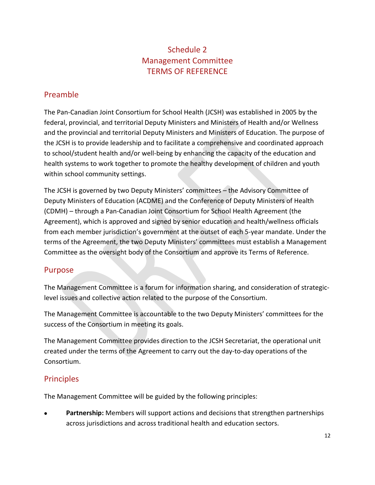## Schedule 2 Management Committee TERMS OF REFERENCE

## Preamble

The Pan-Canadian Joint Consortium for School Health (JCSH) was established in 2005 by the federal, provincial, and territorial Deputy Ministers and Ministers of Health and/or Wellness and the provincial and territorial Deputy Ministers and Ministers of Education. The purpose of the JCSH is to provide leadership and to facilitate a comprehensive and coordinated approach to school/student health and/or well-being by enhancing the capacity of the education and health systems to work together to promote the healthy development of children and youth within school community settings.

The JCSH is governed by two Deputy Ministers' committees – the Advisory Committee of Deputy Ministers of Education (ACDME) and the Conference of Deputy Ministers of Health (CDMH) – through a Pan-Canadian Joint Consortium for School Health Agreement (the Agreement), which is approved and signed by senior education and health/wellness officials from each member jurisdiction's government at the outset of each 5-year mandate. Under the terms of the Agreement, the two Deputy Ministers' committees must establish a Management Committee as the oversight body of the Consortium and approve its Terms of Reference.

## Purpose

The Management Committee is a forum for information sharing, and consideration of strategiclevel issues and collective action related to the purpose of the Consortium.

The Management Committee is accountable to the two Deputy Ministers' committees for the success of the Consortium in meeting its goals.

The Management Committee provides direction to the JCSH Secretariat, the operational unit created under the terms of the Agreement to carry out the day-to-day operations of the Consortium.

## **Principles**

The Management Committee will be guided by the following principles:

• **Partnership:** Members will support actions and decisions that strengthen partnerships across jurisdictions and across traditional health and education sectors.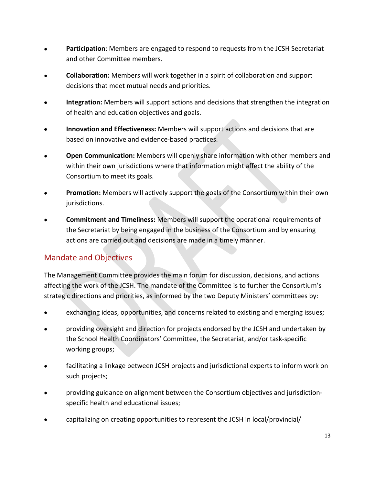- **Participation**: Members are engaged to respond to requests from the JCSH Secretariat and other Committee members.
- **Collaboration:** Members will work together in a spirit of collaboration and support decisions that meet mutual needs and priorities.
- **Integration:** Members will support actions and decisions that strengthen the integration of health and education objectives and goals.
- **Innovation and Effectiveness:** Members will support actions and decisions that are based on innovative and evidence-based practices.
- **Open Communication:** Members will openly share information with other members and within their own jurisdictions where that information might affect the ability of the Consortium to meet its goals.
- **Promotion:** Members will actively support the goals of the Consortium within their own jurisdictions.
- **Commitment and Timeliness:** Members will support the operational requirements of the Secretariat by being engaged in the business of the Consortium and by ensuring actions are carried out and decisions are made in a timely manner.

## Mandate and Objectives

The Management Committee provides the main forum for discussion, decisions, and actions affecting the work of the JCSH. The mandate of the Committee is to further the Consortium's strategic directions and priorities, as informed by the two Deputy Ministers' committees by:

- exchanging ideas, opportunities, and concerns related to existing and emerging issues;
- providing oversight and direction for projects endorsed by the JCSH and undertaken by the School Health Coordinators' Committee, the Secretariat, and/or task-specific working groups;
- facilitating a linkage between JCSH projects and jurisdictional experts to inform work on such projects;
- providing guidance on alignment between the Consortium objectives and jurisdictionspecific health and educational issues;
- capitalizing on creating opportunities to represent the JCSH in local/provincial/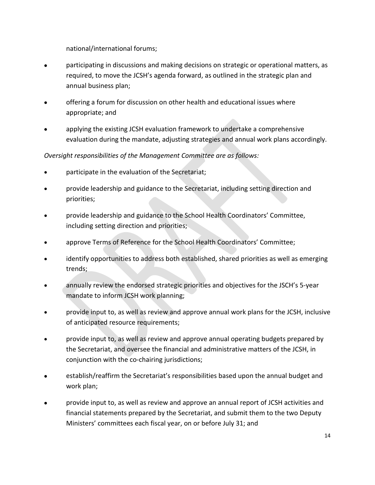national/international forums;

- participating in discussions and making decisions on strategic or operational matters, as required, to move the JCSH's agenda forward, as outlined in the strategic plan and annual business plan;
- offering a forum for discussion on other health and educational issues where appropriate; and
- applying the existing JCSH evaluation framework to undertake a comprehensive evaluation during the mandate, adjusting strategies and annual work plans accordingly.

## *Oversight responsibilities of the Management Committee are as follows:*

- participate in the evaluation of the Secretariat;
- provide leadership and guidance to the Secretariat, including setting direction and priorities;
- provide leadership and guidance to the School Health Coordinators' Committee, including setting direction and priorities;
- approve Terms of Reference for the School Health Coordinators' Committee;
- identify opportunities to address both established, shared priorities as well as emerging trends;
- annually review the endorsed strategic priorities and objectives for the JSCH's 5-year mandate to inform JCSH work planning;
- provide input to, as well as review and approve annual work plans for the JCSH, inclusive of anticipated resource requirements;
- provide input to, as well as review and approve annual operating budgets prepared by the Secretariat, and oversee the financial and administrative matters of the JCSH, in conjunction with the co-chairing jurisdictions;
- establish/reaffirm the Secretariat's responsibilities based upon the annual budget and work plan;
- provide input to, as well as review and approve an annual report of JCSH activities and financial statements prepared by the Secretariat, and submit them to the two Deputy Ministers' committees each fiscal year, on or before July 31; and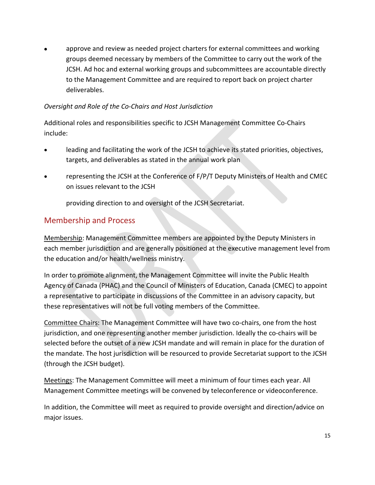• approve and review as needed project charters for external committees and working groups deemed necessary by members of the Committee to carry out the work of the JCSH. Ad hoc and external working groups and subcommittees are accountable directly to the Management Committee and are required to report back on project charter deliverables.

## *Oversight and Role of the Co-Chairs and Host Jurisdiction*

Additional roles and responsibilities specific to JCSH Management Committee Co-Chairs include:

- leading and facilitating the work of the JCSH to achieve its stated priorities, objectives, targets, and deliverables as stated in the annual work plan
- representing the JCSH at the Conference of F/P/T Deputy Ministers of Health and CMEC on issues relevant to the JCSH

providing direction to and oversight of the JCSH Secretariat.

## Membership and Process

Membership: Management Committee members are appointed by the Deputy Ministers in each member jurisdiction and are generally positioned at the executive management level from the education and/or health/wellness ministry.

In order to promote alignment, the Management Committee will invite the Public Health Agency of Canada (PHAC) and the Council of Ministers of Education, Canada (CMEC) to appoint a representative to participate in discussions of the Committee in an advisory capacity, but these representatives will not be full voting members of the Committee.

Committee Chairs: The Management Committee will have two co-chairs, one from the host jurisdiction, and one representing another member jurisdiction. Ideally the co-chairs will be selected before the outset of a new JCSH mandate and will remain in place for the duration of the mandate. The host jurisdiction will be resourced to provide Secretariat support to the JCSH (through the JCSH budget).

Meetings: The Management Committee will meet a minimum of four times each year. All Management Committee meetings will be convened by teleconference or videoconference.

In addition, the Committee will meet as required to provide oversight and direction/advice on major issues.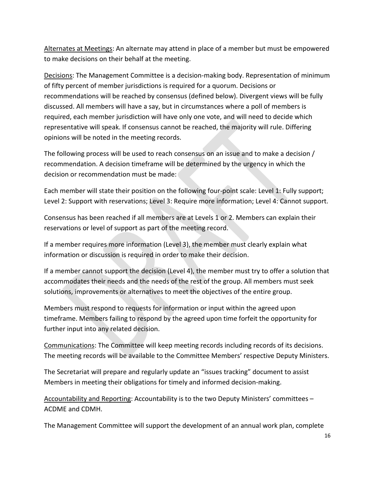Alternates at Meetings: An alternate may attend in place of a member but must be empowered to make decisions on their behalf at the meeting.

Decisions: The Management Committee is a decision-making body. Representation of minimum of fifty percent of member jurisdictions is required for a quorum. Decisions or recommendations will be reached by consensus (defined below). Divergent views will be fully discussed. All members will have a say, but in circumstances where a poll of members is required, each member jurisdiction will have only one vote, and will need to decide which representative will speak. If consensus cannot be reached, the majority will rule. Differing opinions will be noted in the meeting records.

The following process will be used to reach consensus on an issue and to make a decision / recommendation. A decision timeframe will be determined by the urgency in which the decision or recommendation must be made:

Each member will state their position on the following four-point scale: Level 1: Fully support; Level 2: Support with reservations; Level 3: Require more information; Level 4: Cannot support.

Consensus has been reached if all members are at Levels 1 or 2. Members can explain their reservations or level of support as part of the meeting record.

If a member requires more information (Level 3), the member must clearly explain what information or discussion is required in order to make their decision.

If a member cannot support the decision (Level 4), the member must try to offer a solution that accommodates their needs and the needs of the rest of the group. All members must seek solutions, improvements or alternatives to meet the objectives of the entire group.

Members must respond to requests for information or input within the agreed upon timeframe. Members failing to respond by the agreed upon time forfeit the opportunity for further input into any related decision.

Communications: The Committee will keep meeting records including records of its decisions. The meeting records will be available to the Committee Members' respective Deputy Ministers.

The Secretariat will prepare and regularly update an "issues tracking" document to assist Members in meeting their obligations for timely and informed decision-making.

Accountability and Reporting: Accountability is to the two Deputy Ministers' committees – ACDME and CDMH.

The Management Committee will support the development of an annual work plan, complete